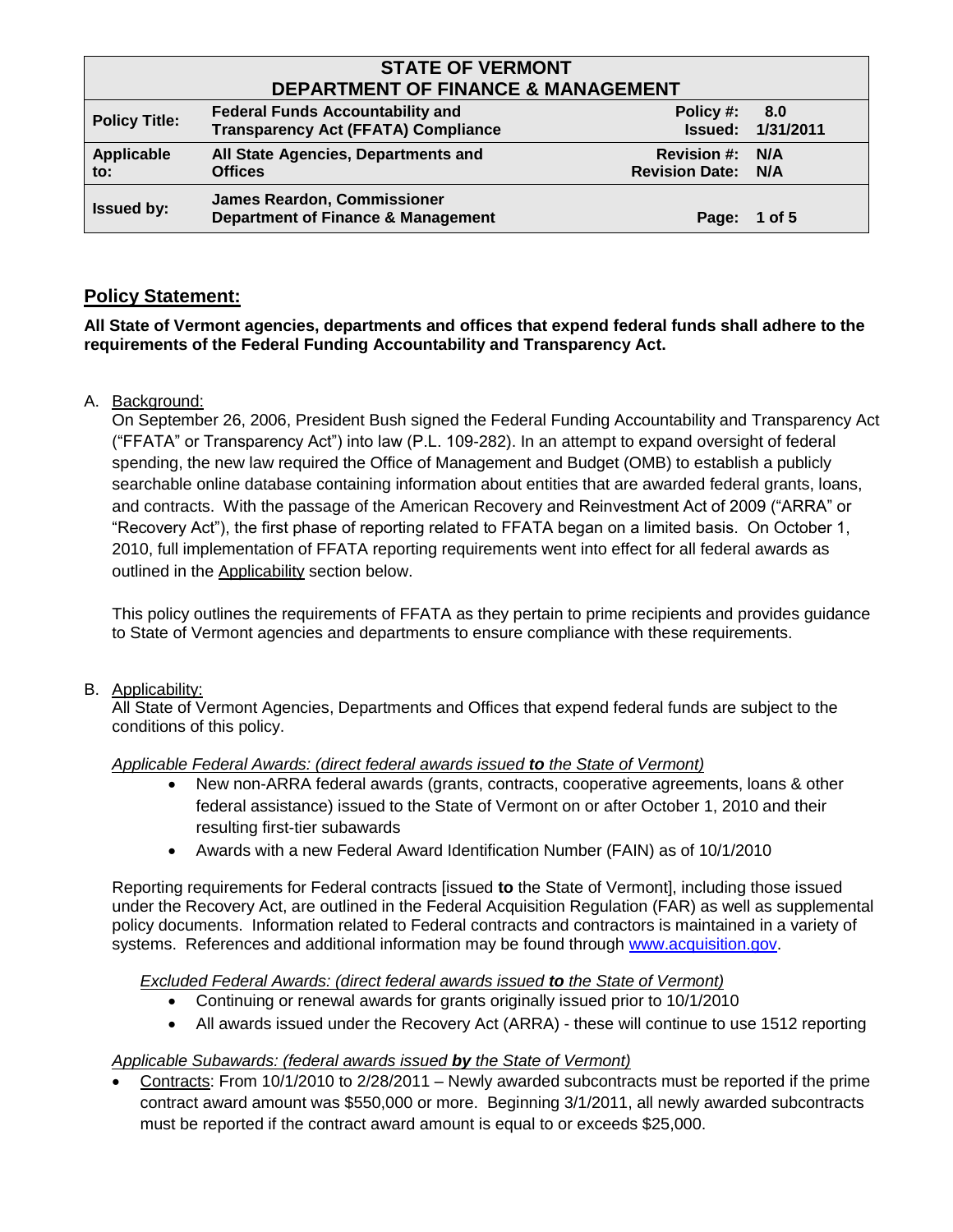| <b>STATE OF VERMONT</b><br><b>DEPARTMENT OF FINANCE &amp; MANAGEMENT</b> |                                                                                       |                                              |                                 |
|--------------------------------------------------------------------------|---------------------------------------------------------------------------------------|----------------------------------------------|---------------------------------|
| <b>Policy Title:</b>                                                     | <b>Federal Funds Accountability and</b><br><b>Transparency Act (FFATA) Compliance</b> | Policy #:                                    | 8.0<br><b>Issued: 1/31/2011</b> |
| Applicable<br>to:                                                        | All State Agencies, Departments and<br><b>Offices</b>                                 | Revision #: N/A<br><b>Revision Date: N/A</b> |                                 |
| <b>Issued by:</b>                                                        | <b>James Reardon, Commissioner</b><br><b>Department of Finance &amp; Management</b>   | Page: 1 of 5                                 |                                 |

## **Policy Statement:**

**All State of Vermont agencies, departments and offices that expend federal funds shall adhere to the requirements of the Federal Funding Accountability and Transparency Act.**

### A. Background:

On September 26, 2006, President Bush signed the Federal Funding Accountability and Transparency Act ("FFATA" or Transparency Act") into law (P.L. 109-282). In an attempt to expand oversight of federal spending, the new law required the Office of Management and Budget (OMB) to establish a publicly searchable online database containing information about entities that are awarded federal grants, loans, and contracts. With the passage of the American Recovery and Reinvestment Act of 2009 ("ARRA" or "Recovery Act"), the first phase of reporting related to FFATA began on a limited basis. On October 1, 2010, full implementation of FFATA reporting requirements went into effect for all federal awards as outlined in the Applicability section below.

This policy outlines the requirements of FFATA as they pertain to prime recipients and provides guidance to State of Vermont agencies and departments to ensure compliance with these requirements.

### B. Applicability:

All State of Vermont Agencies, Departments and Offices that expend federal funds are subject to the conditions of this policy.

### *Applicable Federal Awards: (direct federal awards issued to the State of Vermont)*

- New non-ARRA federal awards (grants, contracts, cooperative agreements, loans & other federal assistance) issued to the State of Vermont on or after October 1, 2010 and their resulting first-tier subawards
- Awards with a new Federal Award Identification Number (FAIN) as of 10/1/2010

Reporting requirements for Federal contracts [issued **to** the State of Vermont], including those issued under the Recovery Act, are outlined in the Federal Acquisition Regulation (FAR) as well as supplemental policy documents. Information related to Federal contracts and contractors is maintained in a variety of systems. References and additional information may be found through [www.acquisition.gov.](http://www.acquisition.gov/)

### *Excluded Federal Awards: (direct federal awards issued to the State of Vermont)*

- Continuing or renewal awards for grants originally issued prior to 10/1/2010
- All awards issued under the Recovery Act (ARRA) these will continue to use 1512 reporting

### *Applicable Subawards: (federal awards issued by the State of Vermont)*

 Contracts: From 10/1/2010 to 2/28/2011 – Newly awarded subcontracts must be reported if the prime contract award amount was \$550,000 or more. Beginning 3/1/2011, all newly awarded subcontracts must be reported if the contract award amount is equal to or exceeds \$25,000.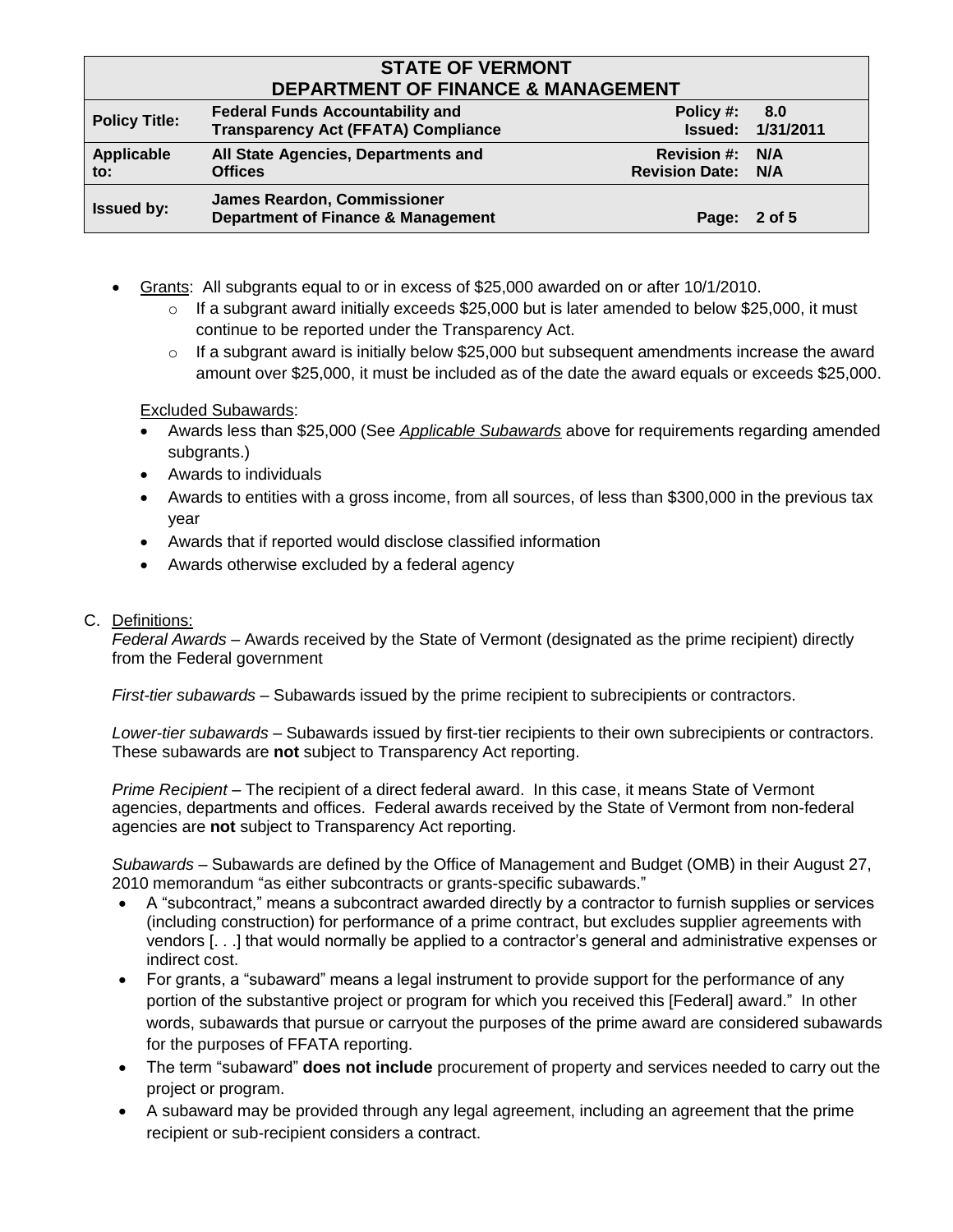# **STATE OF VERMONT DEPARTMENT OF FINANCE & MANAGEMENT**

| DEFARTMENT OF FINANCE & MANAGEMENT |                                                                                       |                                              |                                 |
|------------------------------------|---------------------------------------------------------------------------------------|----------------------------------------------|---------------------------------|
| <b>Policy Title:</b>               | <b>Federal Funds Accountability and</b><br><b>Transparency Act (FFATA) Compliance</b> | Policy #:                                    | 8.0<br><b>Issued: 1/31/2011</b> |
| Applicable<br>to:                  | All State Agencies, Departments and<br><b>Offices</b>                                 | Revision #: N/A<br><b>Revision Date: N/A</b> |                                 |
| <b>Issued by:</b>                  | <b>James Reardon, Commissioner</b><br><b>Department of Finance &amp; Management</b>   | Page: 2 of 5                                 |                                 |

- Grants: All subgrants equal to or in excess of \$25,000 awarded on or after 10/1/2010.
	- $\circ$  If a subgrant award initially exceeds \$25,000 but is later amended to below \$25,000, it must continue to be reported under the Transparency Act.
	- $\circ$  If a subgrant award is initially below \$25,000 but subsequent amendments increase the award amount over \$25,000, it must be included as of the date the award equals or exceeds \$25,000.

### Excluded Subawards:

- Awards less than \$25,000 (See *Applicable Subawards* above for requirements regarding amended subgrants.)
- Awards to individuals
- Awards to entities with a gross income, from all sources, of less than \$300,000 in the previous tax year
- Awards that if reported would disclose classified information
- Awards otherwise excluded by a federal agency

### C. Definitions:

*Federal Awards* – Awards received by the State of Vermont (designated as the prime recipient) directly from the Federal government

*First-tier subawards* – Subawards issued by the prime recipient to subrecipients or contractors.

*Lower-tier subawards* – Subawards issued by first-tier recipients to their own subrecipients or contractors. These subawards are **not** subject to Transparency Act reporting.

*Prime Recipient* – The recipient of a direct federal award. In this case, it means State of Vermont agencies, departments and offices. Federal awards received by the State of Vermont from non-federal agencies are **not** subject to Transparency Act reporting.

*Subawards* – Subawards are defined by the Office of Management and Budget (OMB) in their August 27, 2010 memorandum "as either subcontracts or grants-specific subawards."

- A "subcontract," means a subcontract awarded directly by a contractor to furnish supplies or services (including construction) for performance of a prime contract, but excludes supplier agreements with vendors [. . .] that would normally be applied to a contractor's general and administrative expenses or indirect cost.
- For grants, a "subaward" means a legal instrument to provide support for the performance of any portion of the substantive project or program for which you received this [Federal] award." In other words, subawards that pursue or carryout the purposes of the prime award are considered subawards for the purposes of FFATA reporting.
- The term "subaward" **does not include** procurement of property and services needed to carry out the project or program.
- A subaward may be provided through any legal agreement, including an agreement that the prime recipient or sub-recipient considers a contract.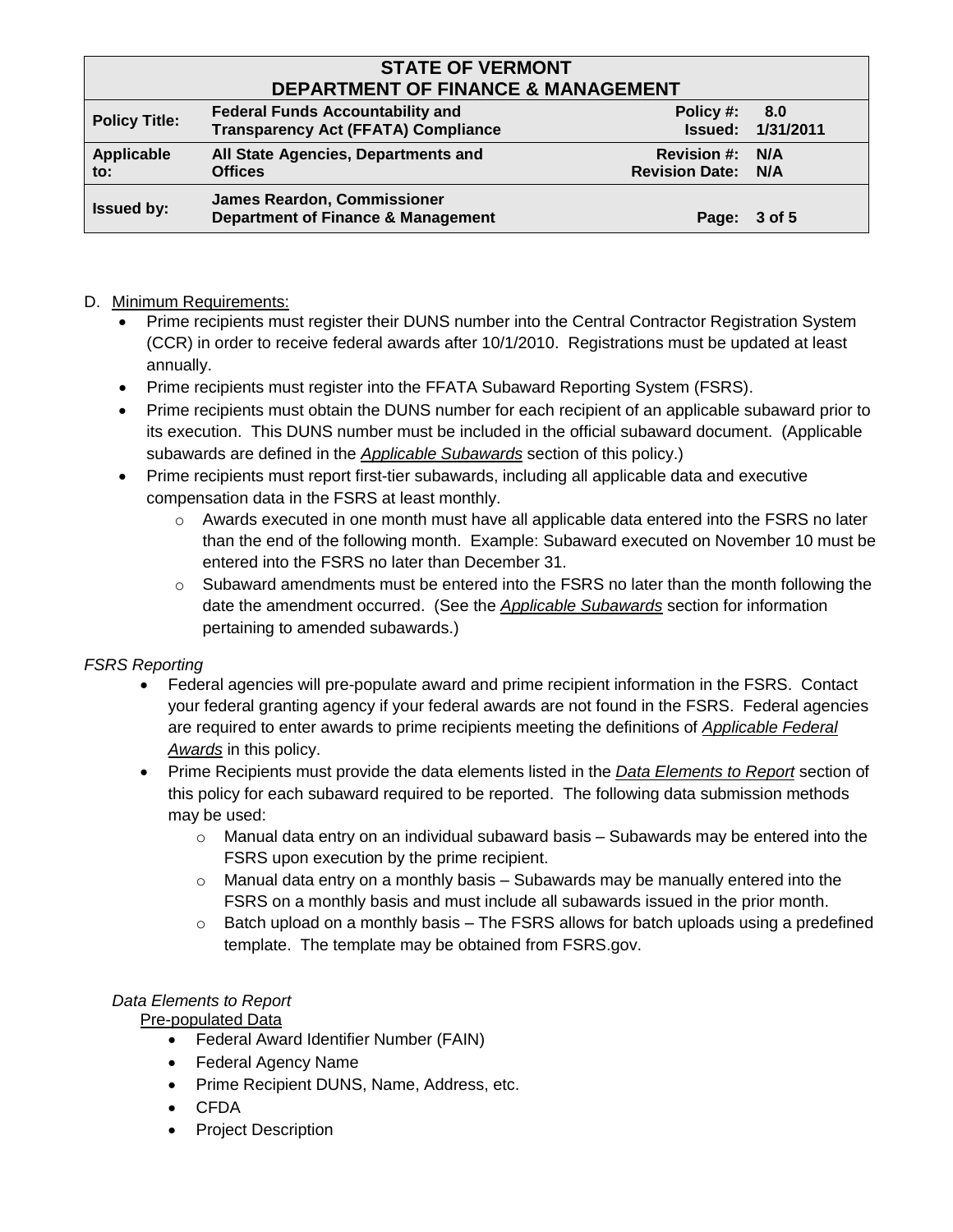# **STATE OF VERMONT DEPARTMENT OF FINANCE & MANAGEMENT**

| PLI ANTIJILINI VI TIINAINVE & IJIANAVEIJIEN I |                                                                                       |                                                     |                                 |
|-----------------------------------------------|---------------------------------------------------------------------------------------|-----------------------------------------------------|---------------------------------|
| <b>Policy Title:</b>                          | <b>Federal Funds Accountability and</b><br><b>Transparency Act (FFATA) Compliance</b> | Policy #:                                           | 8.0<br><b>Issued: 1/31/2011</b> |
| Applicable<br>to:                             | All State Agencies, Departments and<br><b>Offices</b>                                 | <b>Revision #: N/A</b><br><b>Revision Date: N/A</b> |                                 |
| <b>Issued by:</b>                             | <b>James Reardon, Commissioner</b><br><b>Department of Finance &amp; Management</b>   | Page: 3 of 5                                        |                                 |

## D. Minimum Requirements:

- Prime recipients must register their DUNS number into the Central Contractor Registration System (CCR) in order to receive federal awards after 10/1/2010. Registrations must be updated at least annually.
- Prime recipients must register into the FFATA Subaward Reporting System (FSRS).
- Prime recipients must obtain the DUNS number for each recipient of an applicable subaward prior to its execution. This DUNS number must be included in the official subaward document. (Applicable subawards are defined in the *Applicable Subawards* section of this policy.)
- Prime recipients must report first-tier subawards, including all applicable data and executive compensation data in the FSRS at least monthly.
	- $\circ$  Awards executed in one month must have all applicable data entered into the FSRS no later than the end of the following month. Example: Subaward executed on November 10 must be entered into the FSRS no later than December 31.
	- $\circ$  Subaward amendments must be entered into the FSRS no later than the month following the date the amendment occurred. (See the *Applicable Subawards* section for information pertaining to amended subawards.)

## *FSRS Reporting*

- Federal agencies will pre-populate award and prime recipient information in the FSRS. Contact your federal granting agency if your federal awards are not found in the FSRS. Federal agencies are required to enter awards to prime recipients meeting the definitions of *Applicable Federal Awards* in this policy.
- Prime Recipients must provide the data elements listed in the *Data Elements to Report* section of this policy for each subaward required to be reported. The following data submission methods may be used:
	- $\circ$  Manual data entry on an individual subaward basis Subawards may be entered into the FSRS upon execution by the prime recipient.
	- $\circ$  Manual data entry on a monthly basis Subawards may be manually entered into the FSRS on a monthly basis and must include all subawards issued in the prior month.
	- $\circ$  Batch upload on a monthly basis The FSRS allows for batch uploads using a predefined template. The template may be obtained from FSRS.gov.

### *Data Elements to Report*

Pre-populated Data

- Federal Award Identifier Number (FAIN)
- Federal Agency Name
- Prime Recipient DUNS, Name, Address, etc.
- CFDA
- Project Description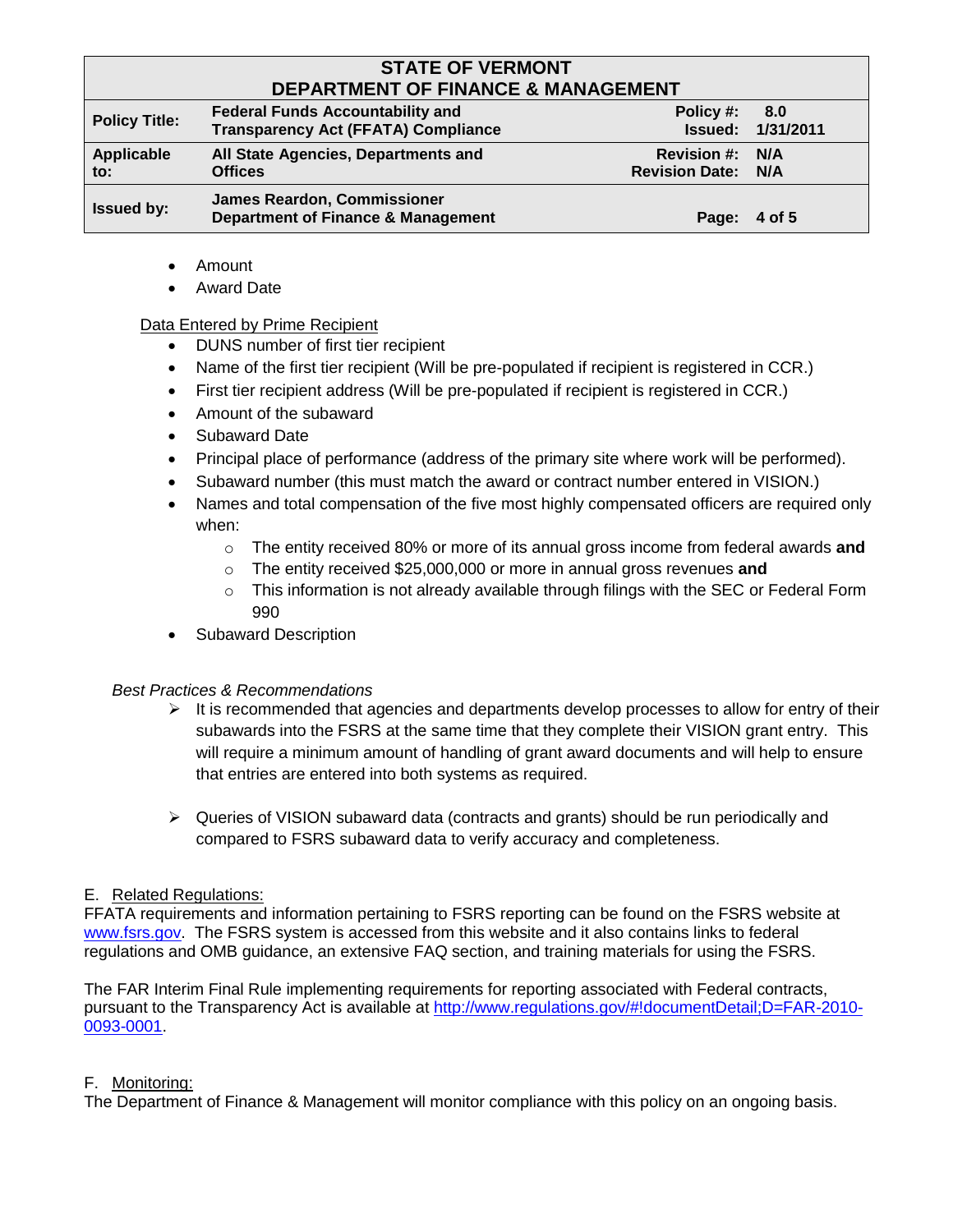# **STATE OF VERMONT DEPARTMENT OF FINANCE & MANAGEMENT**

| PELANTMENT VE FINANVE & MANAVEMENT |                                                                                       |                                              |                                 |
|------------------------------------|---------------------------------------------------------------------------------------|----------------------------------------------|---------------------------------|
| <b>Policy Title:</b>               | <b>Federal Funds Accountability and</b><br><b>Transparency Act (FFATA) Compliance</b> | Policy #:                                    | 8.0<br><b>Issued: 1/31/2011</b> |
| Applicable<br>to:                  | All State Agencies, Departments and<br><b>Offices</b>                                 | Revision #: N/A<br><b>Revision Date: N/A</b> |                                 |
| <b>Issued by:</b>                  | <b>James Reardon, Commissioner</b><br><b>Department of Finance &amp; Management</b>   | Page: 4 of 5                                 |                                 |

- Amount
- Award Date

### Data Entered by Prime Recipient

- DUNS number of first tier recipient
- Name of the first tier recipient (Will be pre-populated if recipient is registered in CCR.)
- First tier recipient address (Will be pre-populated if recipient is registered in CCR.)
- Amount of the subaward
- Subaward Date
- Principal place of performance (address of the primary site where work will be performed).
- Subaward number (this must match the award or contract number entered in VISION.)
- Names and total compensation of the five most highly compensated officers are required only when:
	- o The entity received 80% or more of its annual gross income from federal awards **and**
	- o The entity received \$25,000,000 or more in annual gross revenues **and**
	- $\circ$  This information is not already available through filings with the SEC or Federal Form 990
- Subaward Description

### *Best Practices & Recommendations*

- $\triangleright$  It is recommended that agencies and departments develop processes to allow for entry of their subawards into the FSRS at the same time that they complete their VISION grant entry. This will require a minimum amount of handling of grant award documents and will help to ensure that entries are entered into both systems as required.
- $\triangleright$  Queries of VISION subaward data (contracts and grants) should be run periodically and compared to FSRS subaward data to verify accuracy and completeness.

### E. Related Regulations:

FFATA requirements and information pertaining to FSRS reporting can be found on the FSRS website at [www.fsrs.gov.](http://www.fsrs.gov/) The FSRS system is accessed from this website and it also contains links to federal regulations and OMB guidance, an extensive FAQ section, and training materials for using the FSRS.

The FAR Interim Final Rule implementing requirements for reporting associated with Federal contracts, pursuant to the Transparency Act is available at [http://www.regulations.gov/#!documentDetail;D=FAR-2010-](http://www.regulations.gov/#!documentDetail;D=FAR-2010-0093-0001) [0093-0001.](http://www.regulations.gov/#!documentDetail;D=FAR-2010-0093-0001)

### F. Monitoring:

The Department of Finance & Management will monitor compliance with this policy on an ongoing basis.